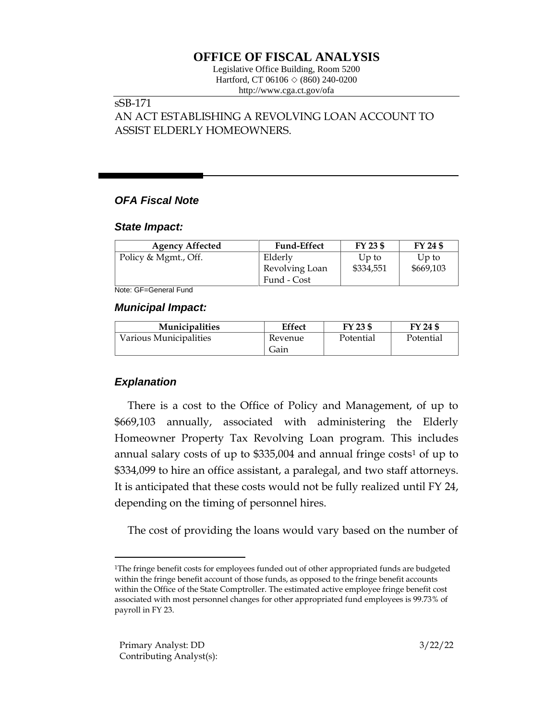# **OFFICE OF FISCAL ANALYSIS**

Legislative Office Building, Room 5200 Hartford, CT 06106  $\Diamond$  (860) 240-0200 http://www.cga.ct.gov/ofa

## sSB-171

AN ACT ESTABLISHING A REVOLVING LOAN ACCOUNT TO ASSIST ELDERLY HOMEOWNERS.

## *OFA Fiscal Note*

### *State Impact:*

| <b>Agency Affected</b> | <b>Fund-Effect</b> | FY 23 \$  | FY 24 \$  |
|------------------------|--------------------|-----------|-----------|
| Policy & Mgmt., Off.   | Elderly            | Up to     | Up to     |
|                        | Revolving Loan     | \$334,551 | \$669,103 |
|                        | Fund - Cost        |           |           |

Note: GF=General Fund

### *Municipal Impact:*

| <b>Municipalities</b>  | Effect          | FY 23 \$  | FY 24 \$  |
|------------------------|-----------------|-----------|-----------|
| Various Municipalities | Revenue<br>Gain | Potential | Potential |

## *Explanation*

There is a cost to the Office of Policy and Management, of up to \$669,103 annually, associated with administering the Elderly Homeowner Property Tax Revolving Loan program. This includes annual salary costs of up to  $$335,004$  and annual fringe costs<sup>1</sup> of up to \$334,099 to hire an office assistant, a paralegal, and two staff attorneys. It is anticipated that these costs would not be fully realized until FY 24, depending on the timing of personnel hires.

The cost of providing the loans would vary based on the number of

<sup>&</sup>lt;sup>1</sup>The fringe benefit costs for employees funded out of other appropriated funds are budgeted within the fringe benefit account of those funds, as opposed to the fringe benefit accounts within the Office of the State Comptroller. The estimated active employee fringe benefit cost associated with most personnel changes for other appropriated fund employees is 99.73% of payroll in FY 23.